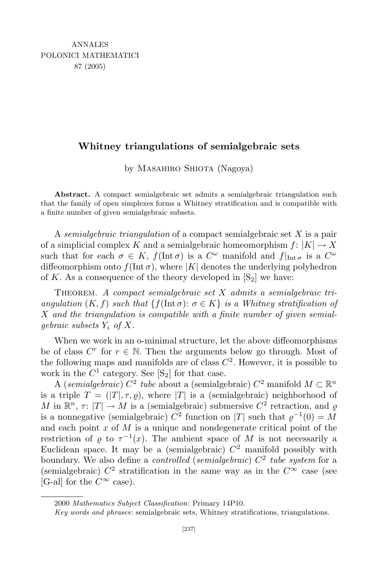## **Whitney triangulations of semialgebraic sets**

by MASAHIRO SHIOTA (Nagoya)

**Abstract.** A compact semialgebraic set admits a semialgebraic triangulation such that the family of open simplexes forms a Whitney stratification and is compatible with a finite number of given semialgebraic subsets.

A *semialgebraic triangulation* of a compact semialgebraic set *X* is a pair of a simplicial complex *K* and a semialgebraic homeomorphism  $f: |K| \to X$ such that for each  $\sigma \in K$ ,  $f(\text{Int }\sigma)$  is a  $C^{\omega}$  manifold and  $f|_{\text{Int }\sigma}$  is a  $C^{\omega}$ diffeomorphism onto  $f(\text{Int }\sigma)$ , where  $|K|$  denotes the underlying polyhedron of K. As a consequence of the theory developed in  $[S_2]$  we have:

THEOREM. A compact semialgebraic set X admits a semialgebraic tri*angulation*  $(K, f)$  *such that*  $\{f(\text{Int }\sigma): \sigma \in K\}$  *is a Whitney stratification of X and the triangulation is compatible with a finite number of given semialgebraic subsets Y<sup>i</sup> of X.*

When we work in an o-minimal structure, let the above diffeomorphisms be of class  $C^r$  for  $r \in \mathbb{N}$ . Then the arguments below go through. Most of the following maps and manifolds are of class  $C^2$ . However, it is possible to work in the  $C^1$  category. See  $[S_2]$  for that case.

A (*semialgebraic*)  $C^2$  *tube* about a (semialgebraic)  $C^2$  manifold  $M \subset \mathbb{R}^n$ is a triple  $T = (T|\tau, \tau, \rho)$ , where  $|T|$  is a (semialgebraic) neighborhood of *M* in  $\mathbb{R}^n$ ,  $\tau: |T| \to M$  is a (semialgebraic) submersive  $C^2$  retraction, and  $\varrho$ is a nonnegative (semialgebraic)  $C^2$  function on  $|T|$  such that  $\varrho^{-1}(0) = M$ and each point *x* of *M* is a unique and nondegenerate critical point of the restriction of  $\varrho$  to  $\tau^{-1}(x)$ . The ambient space of M is not necessarily a Euclidean space. It may be a (semialgebraic)  $C<sup>2</sup>$  manifold possibly with boundary. We also define a *controlled* (*semialgebraic*) *C* 2 *tube system* for a (semialgebraic)  $C^2$  stratification in the same way as in the  $C^{\infty}$  case (see  $[G-$ all for the  $C^{\infty}$  case).

<sup>2000</sup> *Mathematics Subject Classification*: Primary 14P10.

*Key words and phrases*: semialgebraic sets, Whitney stratifications, triangulations.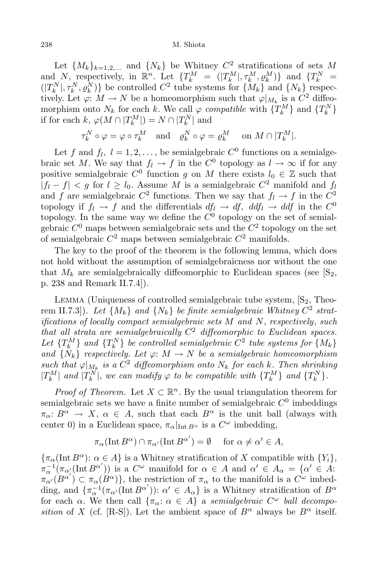## 238 M. Shiota

Let  $\{M_k\}_{k=1,2,...}$  and  $\{N_k\}$  be Whitney  $C^2$  stratifications of sets M and N, respectively, in  $\mathbb{R}^n$ . Let  $\{T_k^M = (|T_k^M|, \tau_k^M, \varrho_k^M)\}\$  and  $\{T_k^N =$  $(|T_k^N|, \tau_k^N, \varrho_k^N)\}\$ be controlled  $C^2$  tube systems for  $\{M_k\}$  and  $\{N_k\}$  respectively. Let  $\varphi: M \to N$  be a homeomorphism such that  $\varphi|_{M_k}$  is a  $C^2$  diffeomorphism onto  $N_k$  for each k. We call  $\varphi$  *compatible* with  $\{T_k^M\}$  and  $\{T_k^N\}$ if for each  $k, \varphi(M \cap |T_k^M|) = N \cap |T_k^N|$  and

$$
\tau_k^N \circ \varphi = \varphi \circ \tau_k^M \quad \text{and} \quad \varrho_k^N \circ \varphi = \varrho_k^M \quad \text{on } M \cap |T_k^M|.
$$

Let *f* and  $f_l$ ,  $l = 1, 2, \ldots$ , be semialgebraic  $C^0$  functions on a semialgebraic set *M*. We say that  $f_l \to f$  in the  $C^0$  topology as  $l \to \infty$  if for any positive semialgebraic  $C^0$  function *g* on *M* there exists  $l_0 \in \mathbb{Z}$  such that  $|f_l - f| < g$  for  $l \ge l_0$ . Assume *M* is a semialgebraic  $C^2$  manifold and  $f_l$ and *f* are semialgebraic  $C^2$  functions. Then we say that  $f_l \to f$  in the  $C^2$ topology if  $f_l \to f$  and the differentials  $df_l \to df$ ,  $ddf_l \to ddf$  in the  $C^0$ topology. In the same way we define the *C* 0 topology on the set of semialgebraic  $C^0$  maps between semialgebraic sets and the  $C^2$  topology on the set of semialgebraic *C* <sup>2</sup> maps between semialgebraic *C* <sup>2</sup> manifolds.

The key to the proof of the theorem is the following lemma, which does not hold without the assumption of semialgebraicness nor without the one that  $M_k$  are semialgebraically diffeomorphic to Euclidean spaces (see  $[S_2,$ p. 238 and Remark II.7.4]).

LEMMA (Uniqueness of controlled semialgebraic tube system,  $[S_2,$  Theorem II.7.3]). Let  $\{M_k\}$  and  $\{N_k\}$  be finite semialgebraic Whitney  $C^2$  strat*ifications of locally compact semialgebraic sets M and N*, *respectively*, *such that all strata are semialgebraically C* <sup>2</sup> *diffeomorphic to Euclidean spaces.* Let  $\{T_k^M\}$  and  $\{T_k^N\}$  be controlled semialgebraic  $C^2$  tube systems for  $\{M_k\}$ *and*  $\{N_k\}$  *respectively. Let*  $\varphi: M \to N$  *be a semialgebraic homeomorphism such that*  $\varphi|_{M_k}$  *is a*  $C^2$  *diffeomorphism onto*  $N_k$  *for each*  $k$ *. Then shrinking*  $|T^M_k|$  and  $|T^N_k|$ , we can modify  $\varphi$  to be compatible with  $\{T^M_k\}$  and  $\{T^N_k\}$ .

*Proof of Theorem.* Let  $X \subset \mathbb{R}^n$ . By the usual triangulation theorem for semialgebraic sets we have a finite number of semialgebraic  $C^0$  imbeddings  $\pi_{\alpha}: B^{\alpha} \to X$ ,  $\alpha \in A$ , such that each  $B^{\alpha}$  is the unit ball (always with center 0) in a Euclidean space,  $\pi_{\alpha}|_{\text{Int }B^{\alpha}}$  is a  $C^{\omega}$  imbedding,

$$
\pi_{\alpha}(\text{Int } B^{\alpha}) \cap \pi_{\alpha'}(\text{Int } B^{\alpha'}) = \emptyset \quad \text{ for } \alpha \neq \alpha' \in A,
$$

 $\{\pi_{\alpha}(\text{Int }B^{\alpha})\colon \alpha \in A\}$  is a Whitney stratification of *X* compatible with  $\{Y_i\}$ ,  $\pi_{\alpha}^{-1}(\pi_{\alpha'}(\text{Int }B^{\alpha'}))$  is a  $C^{\omega}$  manifold for  $\alpha \in A$  and  $\alpha' \in A_{\alpha} = {\alpha' \in A:$  $\pi_{\alpha'}(B^{\alpha'}) \subset \pi_{\alpha}(B^{\alpha})\},\$  the restriction of  $\pi_{\alpha}$  to the manifold is a  $C^{\omega}$  imbedding, and  $\{\pi_{\alpha}^{-1}(\pi_{\alpha'}(\text{Int }B^{\alpha'}))\colon \alpha' \in A_{\alpha}\}\)$  is a Whitney stratification of  $B^{\alpha}$ for each *α*. We then call  $\{\pi_{\alpha}: \alpha \in A\}$  a *semialgebraic*  $C^{\omega}$  *ball decomposition* of *X* (cf. [R-S]). Let the ambient space of  $B^{\alpha}$  always be  $B^{\alpha}$  itself.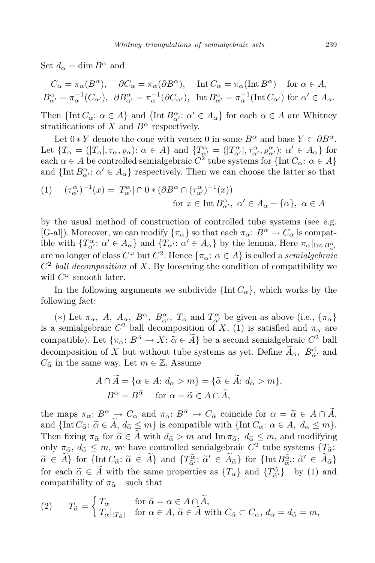Set  $d_{\alpha} = \dim B^{\alpha}$  and

$$
C_{\alpha} = \pi_{\alpha}(B^{\alpha}), \quad \partial C_{\alpha} = \pi_{\alpha}(\partial B^{\alpha}), \quad \text{Int } C_{\alpha} = \pi_{\alpha}(\text{Int } B^{\alpha}) \quad \text{for } \alpha \in A,
$$
  

$$
B^{\alpha}_{\alpha'} = \pi_{\alpha}^{-1}(C_{\alpha'}), \ \partial B^{\alpha}_{\alpha'} = \pi_{\alpha}^{-1}(\partial C_{\alpha'}), \ \text{Int } B^{\alpha}_{\alpha'} = \pi_{\alpha}^{-1}(\text{Int } C_{\alpha'}) \text{ for } \alpha' \in A_{\alpha}.
$$

Then  ${\{\text{Int } C_{\alpha}: \alpha \in A\}}$  and  ${\{\text{Int } B_{\alpha'}^{\alpha}: \alpha' \in A_{\alpha}\}}$  for each  $\alpha \in A$  are Whitney stratifications of *X* and  $B^{\alpha}$  respectively.

Let  $0 * Y$  denote the cone with vertex 0 in some  $B^{\alpha}$  and base  $Y \subset \partial B^{\alpha}$ . Let  $\{T_{\alpha} = (|T_{\alpha}|, \tau_{\alpha}, \varrho_{\alpha}) : \alpha \in A\}$  and  $\{T_{\alpha'}^{\alpha} = (|T_{\alpha'}^{\alpha}|, \tau_{\alpha'}^{\alpha}, \varrho_{\alpha'}^{\alpha}) : \alpha' \in A_{\alpha}\}\$  for  $\alpha \in A$  be controlled semialgebraic  $C^2$  tube systems for  $\{\text{Int } C_{\alpha}: \alpha \in A\}$ and  $\{\text{Int } B^{\alpha}_{\alpha'} : \alpha' \in A_{\alpha}\}\$  respectively. Then we can choose the latter so that

$$
(1) \quad (\tau_{\alpha'}^{\alpha})^{-1}(x) = |T_{\alpha'}^{\alpha}| \cap 0 * (\partial B^{\alpha} \cap (\tau_{\alpha'}^{\alpha})^{-1}(x))
$$
  
for  $x \in \text{Int } B_{\alpha'}^{\alpha}, \ \alpha' \in A_{\alpha} - \{\alpha\}, \ \alpha \in A$ 

by the usual method of construction of controlled tube systems (see e.g.  $[G-all]$ . Moreover, we can modify  ${\lbrace \pi_{\alpha} \rbrace}$  so that each  ${\pi_{\alpha}: B^{\alpha} \to C_{\alpha}}$  is compatible with  $\{T^{\alpha}_{\alpha'}: \alpha' \in A_{\alpha}\}\$  and  $\{T_{\alpha'}: \alpha' \in A_{\alpha}\}\$  by the lemma. Here  $\pi_{\alpha}|_{\text{Int }B^{\alpha}_{\alpha'}}$ are no longer of class  $C^{\omega}$  but  $C^2$ . Hence  $\{\pi_{\alpha}: \alpha \in A\}$  is called a *semialgebraic C* 2 *ball decomposition* of *X*. By loosening the condition of compatibility we will  $C^{\omega}$  smooth later.

In the following arguments we subdivide  $\{\text{Int } C_{\alpha}\}\)$ , which works by the following fact:

(\*) Let  $\pi_{\alpha}$ ,  $A$ ,  $A_{\alpha}$ ,  $B^{\alpha}$ ,  $B_{\alpha'}^{\alpha}$ ,  $T_{\alpha}$  and  $T_{\alpha'}^{\alpha}$  be given as above (i.e.,  $\{\pi_{\alpha}\}$ ) is a semialgebraic  $C^2$  ball decomposition of *X*, (1) is satisfied and  $\pi_\alpha$  are compatible). Let  $\{\pi_{\alpha}: B^{\alpha} \to X : \tilde{\alpha} \in \tilde{A}\}$  be a second semialgebraic  $C^2$  ball decomposition of *X* but without tube systems as yet. Define  $\overline{A}_{\alpha}$ ,  $\overline{B}_{\alpha'}^{\alpha}$  and  $\overline{C}_{\alpha}$  in the same way Let  $\infty \subset \mathbb{Z}$ . Againse  $C_{\tilde{\alpha}}$  in the same way. Let  $m \in \mathbb{Z}$ . Assume

$$
A \cap \overline{A} = \{ \alpha \in A : d_{\alpha} > m \} = \{ \widetilde{\alpha} \in \overline{A} : d_{\widetilde{\alpha}} > m \},
$$
  

$$
B^{\alpha} = B^{\widetilde{\alpha}} \quad \text{for } \alpha = \widetilde{\alpha} \in A \cap \widetilde{A},
$$

the maps  $\pi_{\alpha}: B^{\alpha} \to C_{\alpha}$  and  $\pi_{\tilde{\alpha}}: B^{\tilde{\alpha}} \to C_{\tilde{\alpha}}$  coincide for  $\alpha = \tilde{\alpha} \in A \cap \tilde{A}$ , and  $\{\text{Int } C_{\tilde{\alpha}}: \tilde{\alpha} \in \tilde{A}, d_{\tilde{\alpha}} \leq m\}$  is compatible with  $\{\text{Int } C_{\alpha}: \alpha \in A, d_{\alpha} \leq m\}$ . Then fixing  $\pi_{\tilde{\alpha}}$  for  $\tilde{\alpha} \in A$  with  $d_{\tilde{\alpha}} > m$  and Im  $\pi_{\tilde{\alpha}}$ ,  $d_{\tilde{\alpha}} \leq m$ , and modifying only  $\pi_{\tilde{\alpha}}$ ,  $d_{\tilde{\alpha}} \leq m$ , we have controlled semialgebraic  $C^2$  tube systems  $\{T_{\tilde{\alpha}}: \tilde{\alpha} \leq \tilde{\alpha} \}$  $\widetilde{\alpha} \in \widetilde{A}$  for  $\{\text{Int } C_{\widetilde{\alpha}} : \widetilde{\alpha} \in \widetilde{A}\}$  and  $\{T_{\widetilde{\alpha}'}^{\widetilde{\alpha}} : \widetilde{\alpha}' \in \widetilde{A}_{\widetilde{\alpha}}\}$  for  $\{\text{Int } B_{\widetilde{\alpha}}^{\widetilde{\alpha}} : \widetilde{\alpha}' \in \widetilde{A}_{\widetilde{\alpha}}\}$  $\tilde{\alpha}^{\prime}$   $\alpha \in A_{\alpha}$  for  $\lim_{\alpha} D_{\alpha}^{\alpha}$ for each  $\tilde{\alpha} \in \tilde{A}$  with the same properties as  $\{T_{\alpha}\}\$  and  $\{\tilde{T}_{\alpha}^{\tilde{\alpha}}\}$ —by (1) and compatibility of  $\pi$  and that compatibility of  $\pi_{\tilde{\alpha}}$ —such that

(2) 
$$
T_{\widetilde{\alpha}} = \begin{cases} T_{\alpha} & \text{for } \widetilde{\alpha} = \alpha \in A \cap \widetilde{A}, \\ T_{\alpha}|_{|T_{\widetilde{\alpha}}|} & \text{for } \alpha \in A, \widetilde{\alpha} \in \widetilde{A} \text{ with } C_{\widetilde{\alpha}} \subset C_{\alpha}, d_{\alpha} = d_{\widetilde{\alpha}} = m, \end{cases}
$$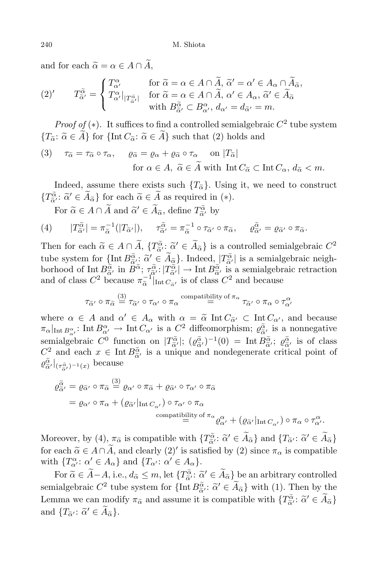and for each  $\tilde{\alpha} = \alpha \in A \cap \tilde{A}$ ,

$$
(2)'\qquad T_{\tilde{\alpha}'}^{\tilde{\alpha}} = \begin{cases} T_{\alpha'}^{\alpha} & \text{for } \tilde{\alpha} = \alpha \in A \cap \tilde{A}, \, \tilde{\alpha}' = \alpha' \in A_{\alpha} \cap \tilde{A}_{\tilde{\alpha}}, \\ T_{\alpha'}^{\alpha} \vert_{|T_{\alpha'}^{\tilde{\alpha}}|} & \text{for } \tilde{\alpha} = \alpha \in A \cap \tilde{A}, \, \alpha' \in A_{\alpha}, \, \tilde{\alpha}' \in \tilde{A}_{\tilde{\alpha}} \\ & \text{with } B_{\tilde{\alpha}'}^{\tilde{\alpha}} \subset B_{\alpha'}^{\alpha}, \, d_{\alpha'} = d_{\tilde{\alpha}'} = m. \end{cases}
$$

*Proof of*  $(*)$ . It suffices to find a controlled semialgebraic  $C^2$  tube system  ${T_{\alpha}: \alpha \in \widetilde{A}$  for  ${\{\text{Int}\, C_{\alpha}: \alpha \in \widetilde{A}\} \text{ such that (2) holds and}}$ 

(3) 
$$
\tau_{\tilde{\alpha}} = \tau_{\tilde{\alpha}} \circ \tau_{\alpha}, \quad \varrho_{\tilde{\alpha}} = \varrho_{\alpha} + \varrho_{\tilde{\alpha}} \circ \tau_{\alpha} \quad \text{on } |T_{\tilde{\alpha}}|
$$
  
for  $\alpha \in A$ ,  $\tilde{\alpha} \in \tilde{A}$  with  $\text{Int } C_{\tilde{\alpha}} \subset \text{Int } C_{\alpha}$ ,  $d_{\tilde{\alpha}} < m$ .

Indeed, assume there exists such  ${T_{\alpha}}$ . Using it, we need to construct  $\{T^{\tilde{\alpha}}_{\tilde{\alpha}'}: \tilde{\alpha}' \in A_{\tilde{\alpha}}\}$  for each  $\tilde{\alpha} \in A$  as required in (*\**).

For  $\widetilde{\alpha} \in A \cap \widetilde{A}$  and  $\widetilde{\alpha}' \in \widetilde{A}_{\widetilde{\alpha}}$ , define  $T^{\widetilde{\alpha}}_{\widetilde{\alpha}'}$  by

(4) 
$$
|T^{\tilde{\alpha}}_{\tilde{\alpha}'}| = \pi^{\tilde{\alpha}}_{\tilde{\alpha}}(|T_{\tilde{\alpha}'}|), \quad \tau^{\tilde{\alpha}}_{\tilde{\alpha}'} = \pi^{\tilde{\alpha}}_{\tilde{\alpha}} \circ \tau_{\tilde{\alpha}'} \circ \pi_{\tilde{\alpha}}, \quad \varrho^{\tilde{\alpha}}_{\tilde{\alpha}'} = \varrho_{\tilde{\alpha}'} \circ \pi_{\tilde{\alpha}}.
$$

Then for each  $\tilde{\alpha} \in A \cap \tilde{A}$ ,  $\{T_{\tilde{\alpha}}^{\tilde{\alpha}} : \tilde{\alpha}' \in \tilde{A}_{\tilde{\alpha}}\}$  is a controlled semialgebraic  $C^2$ *a*e *d i a <i>a (iii) a*<sub>c</sub> *ii a*<sub>*a*</sub> *ii a*<sub>c</sub> *ii a*<sub>c</sub> *i*<sup>*a*</sup></sup> *a*<sub>*a*</sub><sup>*f*</sup> *a*<sub>*a*</sub><sup>*f*</sup> *a*<sub>*a*</sub><sup>*f*</sup> *a*<sub>*a*</sub><sup>*f*</sup> *a*<sub>*a*</sub><sup>*f*</sup> *a*<sub>*a*</sub><sup>*f*</sup> *a*<sub>*a*</sub><sup>*f*</sup> *a*<sub>*f*</sub> *<i>f*</sup> *a*<sup>*f*</sup> *a*<sup>*f*</sup> *a*<sup></sup> borhood of Int  $B_{\tilde{\alpha}}^{\tilde{\alpha}}$ , in  $B^{\tilde{\alpha}}$ ;  $\tau_{\tilde{\alpha}}^{\tilde{\alpha}}$ :  $|T_{\tilde{\alpha}}^{\tilde{\alpha}}| \to$  Int  $B_{\tilde{\alpha}}^{\tilde{\alpha}}$  is a semialgebraic retraction and of class  $C^2$  because  $\pi_{\tilde{\alpha}}^{-1}$  $\frac{1}{\alpha}$ <sup>[I</sup>lnt *C*<sub> $\alpha'$ </sub> is of class  $C^2$  and because

$$
\tau_{\widetilde{\alpha}'}\circ\pi_{\widetilde{\alpha}}\overset{(3)}{=}\tau_{\widetilde{\alpha}'}\circ\tau_{\alpha'}\circ\pi_\alpha\overset{\text{compatibility of }\pi_\alpha}{=}\tau_{\widetilde{\alpha}'}\circ\pi_\alpha\circ\tau_{\alpha'}^\alpha
$$

where  $\alpha \in A$  and  $\alpha' \in A_\alpha$  with  $\alpha = \tilde{\alpha} \text{ Int } C_{\tilde{\alpha'}} \subset \text{ Int } C_{\alpha'}$ , and because  $\pi_{\alpha}|_{\text{Int }B^{\alpha}_{\alpha'}}: \text{Int }B^{\alpha}_{\alpha'} \to \text{Int }C_{\alpha'} \text{ is a } C^2 \text{ diffeomorphism; } \varrho^{\widetilde{\alpha}}_{\alpha'} \text{ is a nonnegative}.$ semialgebraic  $C^0$  function on  $|T^{\alpha}_{\tilde{\alpha}'}|$ ;  $(\varrho^{\alpha}_{\tilde{\alpha}'} )^{-1}(0) = \text{Int } B^{\tilde{\alpha}}_{\tilde{\alpha}'}$ ;  $\varrho^{\tilde{\alpha}}_{\tilde{\alpha}'}$  is of class *α*<sup>2</sup> and each  $x \in \text{Int } B^{\alpha}_{\tilde{\alpha}}$  is a unique and nondegenerate critical point of  $a^{\alpha}$  $\varrho^{\tilde{\alpha}}_{\tilde{\alpha}'}|_{(\tau^{\tilde{\alpha}}_{\tilde{\alpha}'})^{-1}(x)}$  because

$$
\varrho_{\tilde{\alpha}'}^{\tilde{\alpha}} = \varrho_{\tilde{\alpha}'} \circ \pi_{\tilde{\alpha}} \stackrel{(3)}{=} \varrho_{\alpha'} \circ \pi_{\tilde{\alpha}} + \varrho_{\tilde{\alpha}'} \circ \tau_{\alpha'} \circ \pi_{\tilde{\alpha}}
$$
\n
$$
= \varrho_{\alpha'} \circ \pi_{\alpha} + (\varrho_{\tilde{\alpha}'} |_{\text{Int } C_{\alpha'})} \circ \tau_{\alpha'} \circ \pi_{\alpha}
$$
\ncompatibility of  $\pi_{\alpha} \varrho_{\alpha'}^{\alpha} + (\varrho_{\tilde{\alpha}} |_{\text{Int } C_{\alpha'}}) \circ \pi_{\alpha} \circ \tau_{\alpha'}^{\alpha}$ .

Moreover, by (4),  $\pi_{\alpha}$  is compatible with  $\{T_{\alpha}^{\tilde{\alpha}}: \tilde{\alpha}' \in A_{\alpha}\}\$  and  $\{T_{\alpha}^{\tilde{\alpha}}: \tilde{\alpha}' \in A_{\alpha}\}\$ for each  $\tilde{\alpha} \in A \cap \tilde{A}$ , and clearly (2)<sup>*'*</sup> is satisfied by (2) since  $\pi_{\alpha}$  is compatible with  $\{T_{\alpha'}^{\alpha} : \alpha' \in A_{\alpha}\}\$  and  $\{T_{\alpha'} : \alpha' \in A_{\alpha}\}.$ 

For  $\widetilde{\alpha} \in \widetilde{A} - A$ , i.e.,  $d_{\widetilde{\alpha}} \leq m$ , let  $\{T^{\widetilde{\alpha}}_{\widetilde{\alpha}} : \widetilde{\alpha}' \in \widetilde{A}_{\widetilde{\alpha}}\}$  be an arbitrary controlled *α*e semialgebraic  $C^2$  tube system for  $\{\text{Int } B^{\tilde{\alpha}}_{\alpha'} : \tilde{\alpha}' \in A_{\tilde{\alpha}}\}$  with (1). Then by the Lemma we can modify  $\pi_{\tilde{\alpha}}$  and assume it is compatible with  $\{T^{\tilde{\alpha}}_{\tilde{\alpha}'}: \tilde{\alpha}' \in A_{\tilde{\alpha}}\}$ and  ${T_{\tilde{\alpha}'}: \tilde{\alpha}' \in A_{\tilde{\alpha}}}$ .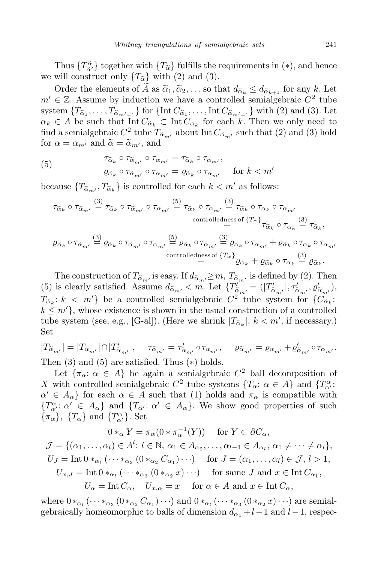Thus  ${T_{\alpha}^{\tilde{\alpha}}}$  together with  ${T_{\alpha}}$  fulfills the requirements in (\*), and hence we will construct only  ${T_{\alpha}}$ <sup>7</sup> with (2) and (3).

Order the elements of  $\widetilde{A}$  as  $\widetilde{\alpha}_1, \widetilde{\alpha}_2, \ldots$  so that  $d_{\widetilde{\alpha}_k} \leq d_{\widetilde{\alpha}_{k+1}}$  for any  $k$ . Let  $m' \in \mathbb{Z}$ . Assume by induction we have a controlled semialgebraic  $C^2$  tube system  $\{T_{\alpha_1}, \ldots, T_{\alpha_{m'-1}}\}$  for  $\{\text{Int\,}C_{\alpha_1}, \ldots, \text{Int\,}C_{\alpha_{m'-1}}\}$  with (2) and (3). Let  $\alpha_k \in A$  be such that Int  $C_{\alpha_k} \subset \text{Int } C_{\alpha_k}$  for each *k*. Then we only need to find a semialgebraic  $C^2$  tube  $T^{\alpha}_{\alpha_{m'}}$  about Int  $C^{\alpha}_{\alpha_{m'}}$  such that (2) and (3) hold for  $\alpha = \alpha_{m'}$  and  $\tilde{\alpha} = \tilde{\alpha}_{m'}$ , and

(5) 
$$
\tau_{\tilde{\alpha}_k} \circ \tau_{\tilde{\alpha}_{m'}} \circ \tau_{\alpha_{m'}} = \tau_{\tilde{\alpha}_k} \circ \tau_{\alpha_{m'}},
$$

$$
\varrho_{\tilde{\alpha}_k} \circ \tau_{\tilde{\alpha}_{m'}} \circ \tau_{\alpha_{m'}} = \varrho_{\tilde{\alpha}_k} \circ \tau_{\alpha_{m'}} \quad \text{for } k < m'
$$

because  ${T_{\tilde{\alpha}_m'}}, T_{\tilde{\alpha}_k}$  is controlled for each  $k < m'$  as follows:

$$
\tau_{\widetilde{\alpha}_k} \circ \tau_{\widetilde{\alpha}_{m'}} \stackrel{(3)}{=} \tau_{\widetilde{\alpha}_k} \circ \tau_{\widetilde{\alpha}_{m'}} \circ \tau_{\alpha_{m'}} \stackrel{(5)}{=} \tau_{\widetilde{\alpha}_k} \circ \tau_{\alpha_{m'}} \stackrel{(3)}{=} \tau_{\widetilde{\alpha}_k} \circ \tau_{\alpha_k} \circ \tau_{\alpha_m'}
$$
\n
$$
\text{controlledness of } \{T_{\alpha}\} \atop = \tau_{\widetilde{\alpha}_k} \circ \tau_{\alpha_k} \stackrel{(3)}{=} \tau_{\widetilde{\alpha}_k},
$$
\n
$$
\varrho_{\widetilde{\alpha}_k} \circ \tau_{\widetilde{\alpha}_{m'}} \stackrel{(3)}{=} \varrho_{\widetilde{\alpha}_k} \circ \tau_{\alpha_{m'}} \stackrel{(5)}{=} \varrho_{\widetilde{\alpha}_k} \circ \tau_{\alpha_{m'}} \stackrel{(3)}{=} \varrho_{\alpha_k} \circ \tau_{\alpha_{m'}} + \varrho_{\widetilde{\alpha}_k} \circ \tau_{\alpha_k} \circ \tau_{\alpha_{m'}}
$$
\n
$$
\text{controlledness of } \{T_{\alpha}\} \atop = \tau_{\widetilde{\alpha}_k} \circ \tau_{\alpha_k} \stackrel{(3)}{=} \varrho_{\widetilde{\alpha}_k}.
$$

The construction of  $T_{\tilde{\alpha}_m}$  is easy. If  $d_{\tilde{\alpha}_m} \geq m$ ,  $T_{\tilde{\alpha}_m'}$  is defined by (2). Then (5) is clearly satisfied. Assume  $d_{\tilde{\alpha}_{m'}} < m$ . Let  $\{T'_{\tilde{\alpha}_{m'}} = (|T'_{\tilde{\alpha}_{m'}}|, \tau'_{\tilde{\alpha}_{m'}}, \varrho'_{\tilde{\alpha}_{m'}}),$  $T_{\alpha_k}: k < m'$ } be a controlled semialgebraic  $C^2$  tube system for  ${C_{\alpha_k}: k \atop C_{\alpha_k} \atop C_{\alpha_k} \cdots C_{\alpha_1}}$  $k \leq m'$ , whose existence is shown in the usual construction of a controlled tube system (see, e.g., [G-al]). (Here we shrink  $|T_{\tilde{\alpha}_k}|$ ,  $k < m'$ , if necessary.) Set

$$
|T_{\tilde{\alpha}_{m'}}| = |T_{\alpha_{m'}}| \cap |T'_{\tilde{\alpha}_{m'}}|, \quad \tau_{\tilde{\alpha}_{m'}} = \tau'_{\tilde{\alpha}_{m'}} \circ \tau_{\alpha_{m'}}, \quad \varrho_{\tilde{\alpha}_{m'}} = \varrho_{\alpha_{m'}} + \varrho'_{\tilde{\alpha}_{m'}} \circ \tau_{\alpha_{m'}}.
$$
  
Then (3) and (5) are satisfied. Thus (\*) holds.

Let  ${\pi_\alpha : \alpha \in A}$  be again a semialgebraic  $C^2$  ball decomposition of *X* with controlled semialgebraic  $C^2$  tube systems  $\{T_\alpha : \alpha \in A\}$  and  $\{T_\alpha^\alpha : \alpha \in A\}$  $\alpha' \in A_{\alpha}$  for each  $\alpha \in A$  such that (1) holds and  $\pi_{\alpha}$  is compatible with *{T*<sup>α</sup><sub>*α*</sub><sup>*′*</sup> : *α*<sup>*′*</sup> *∈ A*<sub>*a*</sub>*}*. We show good properties of such  $\{\pi_{\alpha}\}$ ,  $\{T_{\alpha}\}$  and  $\{T_{\alpha'}^{\alpha}\}$ . Set

$$
0 *_{\alpha} Y = \pi_{\alpha}(0 * \pi_{\alpha}^{-1}(Y)) \quad \text{for } Y \subset \partial C_{\alpha},
$$
  
\n
$$
\mathcal{J} = \{(\alpha_1, \dots, \alpha_l) \in A^l : l \in \mathbb{N}, \alpha_1 \in A_{\alpha_2}, \dots, \alpha_{l-1} \in A_{\alpha_l}, \alpha_1 \neq \dots \neq \alpha_l\},
$$
  
\n
$$
U_J = \text{Int } 0 *_{\alpha_l} (\dots *_{\alpha_3} (0 *_{\alpha_2} C_{\alpha_1}) \dots) \quad \text{for } J = (\alpha_1, \dots, \alpha_l) \in \mathcal{J}, l > 1,
$$
  
\n
$$
U_{x,J} = \text{Int } 0 *_{\alpha_l} (\dots *_{\alpha_3} (0 *_{\alpha_2} x) \dots) \quad \text{for same } J \text{ and } x \in \text{Int } C_{\alpha_1},
$$
  
\n
$$
U_{\alpha} = \text{Int } C_{\alpha}, \quad U_{x,\alpha} = x \quad \text{for } \alpha \in A \text{ and } x \in \text{Int } C_{\alpha},
$$

 $\mathbf{w}$  **here**  $0 *_{\alpha_1} (\cdots *_{\alpha_3} (0 *_{\alpha_2} C_{\alpha_1}) \cdots)$  and  $0 *_{\alpha_1} (\cdots *_{\alpha_3} (0 *_{\alpha_2} x) \cdots)$  are semialgebraically homeomorphic to balls of dimension  $d_{\alpha_1} + l - 1$  and  $l - 1$ , respec-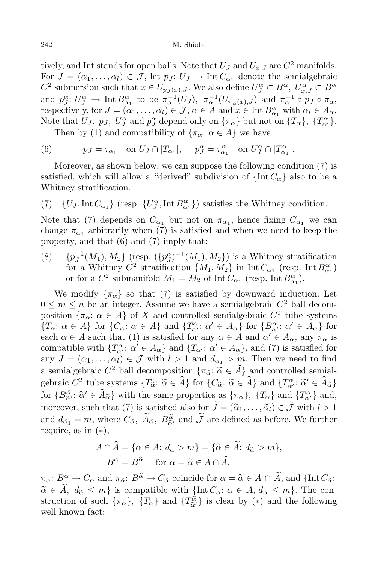tively, and Int stands for open balls. Note that  $U_J$  and  $U_{x,J}$  are  $C^2$  manifolds. For  $J = (\alpha_1, \dots, \alpha_l) \in \mathcal{J}$ , let  $p_J: U_J \to \text{Int } C_{\alpha_1}$  denote the semialgebraic  $C^2$  submersion such that  $x \in U_{p_J(x), J}$ . We also define  $U_J^{\alpha} \subset B^{\alpha}$ ,  $U_{x, J}^{\alpha} \subset B^{\alpha}$ and  $p_{J}^{\alpha}: U_{J}^{\alpha} \to \text{Int } B_{\alpha_1}^{\alpha}$  to be  $\pi_{\alpha}^{-1}(U_{J}), \pi_{\alpha}^{-1}(U_{\pi_{\alpha}(x),J})$  and  $\pi_{\alpha}^{-1} \circ p_{J} \circ \pi_{\alpha}$ , respectively, for  $J = (\alpha_1, \ldots, \alpha_l) \in \mathcal{J}, \alpha \in A$  and  $x \in \text{Int } B^{\alpha}_{\alpha_1}$  with  $\alpha_l \in A_{\alpha}$ . Note that  $U_J$ ,  $p_J$ ,  $U_J^{\alpha}$  and  $p_J^{\alpha}$  depend only on  $\{\pi_{\alpha}\}\$  but not on  $\{T_{\alpha}\}\$ ,  $\{T_{\alpha'}^{\alpha}\}\$ .

Then by (1) and compatibility of  $\{\pi_{\alpha}: \alpha \in A\}$  we have

(6) 
$$
p_J = \tau_{\alpha_1} \quad \text{on } U_J \cap |T_{\alpha_1}|, \quad p_J^{\alpha} = \tau_{\alpha_1}^{\alpha} \quad \text{on } U_J^{\alpha} \cap |T_{\alpha_1}^{\alpha}|.
$$

Moreover, as shown below, we can suppose the following condition (7) is satisfied, which will allow a "derived" subdivision of  $\{\text{Int}\,C_{\alpha}\}\)$  also to be a Whitney stratification.

(7)  ${U_J, \text{Int } C_{\alpha_1}}$  (resp.  ${U_J^{\alpha}, \text{Int } B_{\alpha_1}^{\alpha}}$ ) satisfies the Whitney condition.

Note that (7) depends on  $C_{\alpha_1}$  but not on  $\pi_{\alpha_1}$ , hence fixing  $C_{\alpha_1}$  we can change  $\pi_{\alpha_1}$  arbitrarily when (7) is satisfied and when we need to keep the property, and that (6) and (7) imply that:

(8)  $\{p_J^{-1}(M_1), M_2\}$  (resp.  $(\{p_J^{\alpha}\}^{-1}(M_1), M_2\})$  is a Whitney stratification for a Whitney  $C^2$  stratification  $\{M_1, M_2\}$  in Int  $C_{\alpha_1}$  (resp. Int  $B_{\alpha_1}^{\alpha}$ ) or for a  $C^2$  submanifold  $M_1 = M_2$  of  $\text{Int } C_{\alpha_1}$  (resp.  $\text{Int } B_{\alpha_1}^{\alpha}$ ).

We modify  $\{\pi_{\alpha}\}\$  so that (7) is satisfied by downward induction. Let  $0 \leq m \leq n$  be an integer. Assume we have a semialgebraic  $C^2$  ball decomposition  $\{\pi_{\alpha}: \alpha \in A\}$  of *X* and controlled semialgebraic  $C^2$  tube systems  ${T_\alpha : \alpha \in A}$  for  ${C_\alpha : \alpha \in A}$  and  ${T_\alpha^\alpha : \alpha' \in A_\alpha}$  for  ${B_\alpha^\alpha : \alpha' \in A_\alpha}$  for each  $\alpha \in A$  such that (1) is satisfied for any  $\alpha \in A$  and  $\alpha' \in A_\alpha$ , any  $\pi_\alpha$  is compatible with  $\{T_{\alpha'}^{\alpha} : \alpha' \in A_{\alpha}\}\$  and  $\{T_{\alpha'} : \alpha' \in A_{\alpha}\}\$ , and (7) is satisfied for any  $J = (\alpha_1, \ldots, \alpha_l) \in \mathcal{J}$  with  $l > 1$  and  $d_{\alpha_1} > m$ . Then we need to find a semialgebraic  $C^2$  ball decomposition  $\{\pi_{\alpha}: \alpha \in \hat{A}\}\$  and controlled semialgebraic  $C^2$  tube systems  $\{T_{\alpha} : \tilde{\alpha} \in A\}$  for  $\{C_{\tilde{\alpha}} : \tilde{\alpha} \in A\}$  and  $\{T_{\tilde{\alpha}}^{\tilde{\alpha}} : \tilde{\alpha}' \in A_{\tilde{\alpha}}\}$ for  $\{B^{\tilde{\alpha}}_{\tilde{\alpha}}:\tilde{\alpha}'\in A_{\tilde{\alpha}}\}\$  with the same properties as  $\{\pi_{\alpha}\},\ \{T_{\alpha}\}\$  and  $\{T^{\alpha}_{\alpha'}\}\$  and, *α*e moreover, such that (7) is satisfied also for  $J = (\tilde{\alpha}_1, \dots, \tilde{\alpha}_l) \in \mathcal{J}$  with  $l > 1$ and  $d_{\tilde{\alpha}_1} = m$ , where  $C_{\tilde{\alpha}}$ ,  $\tilde{A}_{\tilde{\alpha}}$ ,  $B_{\tilde{\alpha}}^{\tilde{\alpha}}$  and  $\tilde{\mathcal{J}}$  are defined as before. We further require, as in (*∗*),

$$
A \cap \widetilde{A} = \{ \alpha \in A : d_{\alpha} > m \} = \{ \widetilde{\alpha} \in \widetilde{A} : d_{\widetilde{\alpha}} > m \},
$$
  

$$
B^{\alpha} = B^{\widetilde{\alpha}} \quad \text{for } \alpha = \widetilde{\alpha} \in A \cap \widetilde{A},
$$

 $\pi_{\alpha}: B^{\alpha} \to C_{\alpha}$  and  $\pi_{\widetilde{\alpha}}: B^{\widetilde{\alpha}} \to C_{\widetilde{\alpha}}$  coincide for  $\alpha = \widetilde{\alpha} \in A \cap \widetilde{A}$ , and  $\{\text{Int}\,C_{\widetilde{\alpha}}: A \to C_{\widetilde{\alpha}}\}$  $\alpha \in \tilde{A}, d_{\alpha} \leq m$ *}* is compatible with  $\{\text{Int } C_{\alpha}: \alpha \in A, d_{\alpha} \leq m\}$ . The construction of such  $\{\pi_{\tilde{\alpha}}\}$ ,  $\{T_{\tilde{\alpha}}\}$  and  $\{T_{\tilde{\alpha'}}^{\tilde{\alpha}}\}$  is clear by (\*) and the following well known fact: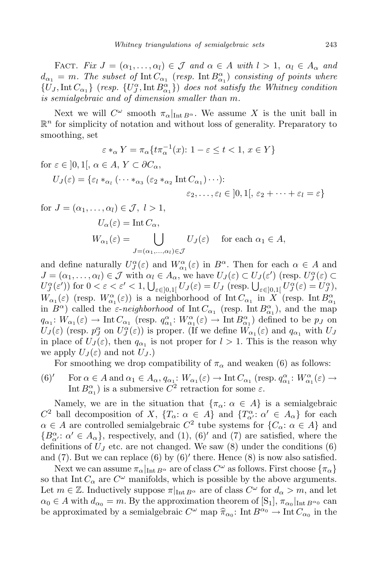FACT. *Fix*  $J = (\alpha_1, \ldots, \alpha_l) \in \mathcal{J}$  and  $\alpha \in A$  with  $l > 1$ ,  $\alpha_l \in A_\alpha$  and  $d_{\alpha_1} = m$ *. The subset of* Int  $C_{\alpha_1}$  (*resp.* Int  $B_{\alpha_1}^{\alpha}$ ) *consisting of points where*  ${U_J, \text{Int } C_{\alpha_1}}$  (*resp.*  ${U_J^{\alpha}, \text{Int } B_{\alpha_1}^{\alpha}}$ ) *does not satisfy the Whitney condition is semialgebraic and of dimension smaller than m.*

Next we will  $C^{\omega}$  smooth  $\pi_{\alpha}|_{\text{Int }B^{\alpha}}$ . We assume X is the unit ball in  $\mathbb{R}^n$  for simplicity of notation and without loss of generality. Preparatory to smoothing, set

$$
\varepsilon *_{\alpha} Y = \pi_{\alpha} \{ t \pi_{\alpha}^{-1}(x) : 1 - \varepsilon \le t < 1, x \in Y \}
$$

for  $\varepsilon \in [0,1], \alpha \in A, Y \subset \partial C_{\alpha}$ ,

$$
U_J(\varepsilon) = \{ \varepsilon_l *_{\alpha_l} (\cdots *_{\alpha_3} (\varepsilon_2 *_{\alpha_2} Int C_{\alpha_1}) \cdots) : \\ \varepsilon_2, \dots, \varepsilon_l \in ]0,1[, \varepsilon_2 + \cdots + \varepsilon_l = \varepsilon \}
$$

for 
$$
J = (\alpha_1, ..., \alpha_l) \in \mathcal{J}, l > 1,
$$
  
\n $U_{\alpha}(\varepsilon) = \text{Int } C_{\alpha},$   
\n $W_{\alpha_1}(\varepsilon) = \bigcup_{J = (\alpha_1, ..., \alpha_l) \in \mathcal{J}} U_J(\varepsilon) \text{ for each } \alpha_1 \in A,$ 

and define naturally  $U_J^{\alpha}(\varepsilon)$  and  $W_{\alpha_1}^{\alpha}(\varepsilon)$  in  $B^{\alpha}$ . Then for each  $\alpha \in A$  and  $J = (\alpha_1, \ldots, \alpha_l) \in \mathcal{J}$  with  $\alpha_l \in A_\alpha$ , we have  $U_J(\varepsilon) \subset U_J(\varepsilon')$  (resp.  $U_J^\alpha(\varepsilon) \subset$  $U_J^{\alpha}(\varepsilon')$  for  $0 < \varepsilon < \varepsilon' < 1$ ,  $\bigcup_{\varepsilon \in ]0,1[} U_J(\varepsilon) = U_J$  (resp.  $\bigcup_{\varepsilon \in ]0,1[} U_J^{\alpha}(\varepsilon) = U_J^{\alpha}$ ),  $W_{\alpha_1}(\varepsilon)$  (resp.  $W_{\alpha_1}^{\alpha}(\varepsilon)$ ) is a neighborhood of Int  $C_{\alpha_1}$  in *X* (resp. Int  $B_{\alpha_1}^{\alpha}$ in  $B^{\alpha}$ ) called the *ε-neighborhood* of Int  $C_{\alpha_1}$  (resp. Int  $B^{\alpha}_{\alpha_1}$ ), and the map  $q_{\alpha_1}: W_{\alpha_1}(\varepsilon) \to \text{Int } C_{\alpha_1}$  (resp.  $q_{\alpha_1}^{\alpha}: W_{\alpha_1}^{\alpha}(\varepsilon) \to \text{Int } B_{\alpha_1}^{\alpha}$ ) defined to be  $p_J$  on  $U_J(\varepsilon)$  (resp.  $p_J^{\alpha}$  on  $U_J^{\alpha}(\varepsilon)$ ) is proper. (If we define  $\overline{W}_{\alpha_1}(\varepsilon)$  and  $q_{\alpha_1}$  with  $U_J$ in place of  $U_J(\varepsilon)$ , then  $q_{\alpha_1}$  is not proper for  $l > 1$ . This is the reason why we apply  $U_J(\varepsilon)$  and not  $U_J$ .)

For smoothing we drop compatibility of  $\pi_{\alpha}$  and weaken (6) as follows:

(6)' For  $\alpha \in A$  and  $\alpha_1 \in A_\alpha$ ,  $q_{\alpha_1}: W_{\alpha_1}(\varepsilon) \to \text{Int } C_{\alpha_1}$  (resp.  $q_{\alpha_1}^{\alpha}: W_{\alpha_1}^{\alpha}(\varepsilon) \to$ Int  $B^{\alpha}_{\alpha_1}$ ) is a submersive  $C^2$  retraction for some  $\varepsilon$ .

Namely, we are in the situation that  ${\lbrace \pi_{\alpha}: \alpha \in A \rbrace}$  is a semialgebraic *C*<sup>2</sup> ball decomposition of *X*,  ${T_\alpha: \alpha \in A}$  and  ${T_\alpha: \alpha' \in A_\alpha}$  for each  $\alpha \in A$  are controlled semialgebraic  $C^2$  tube systems for  $\{C_\alpha : \alpha \in A\}$  and  ${B^{\alpha}_{\alpha'}}$ :  $\alpha' \in A_{\alpha}$ , respectively, and (1), (6)<sup>*'*</sup> and (7) are satisfied, where the definitions of  $U_J$  etc. are not changed. We saw  $(8)$  under the conditions  $(6)$ and (7). But we can replace (6) by (6)*′* there. Hence (8) is now also satisfied.

Next we can assume  $\pi_\alpha|_{\text{Int }B^\alpha}$  are of class  $C^\omega$  as follows. First choose  $\{\pi_\alpha\}$ so that Int  $C_{\alpha}$  are  $C^{\omega}$  manifolds, which is possible by the above arguments. Let  $m \in \mathbb{Z}$ . Inductively suppose  $\pi|_{\text{Int }B^{\alpha}}$  are of class  $C^{\omega}$  for  $d_{\alpha} > m$ , and let  $\alpha_0 \in A$  with  $d_{\alpha_0} = m$ . By the approximation theorem of [S<sub>1</sub>],  $\pi_{\alpha_0}|_{\text{Int }B^{\alpha_0}}$  can be approximated by a semialgebraic  $C^{\omega}$  map  $\hat{\pi}_{\alpha_0}$ : Int  $B^{\alpha_0} \to$  Int  $C_{\alpha_0}$  in the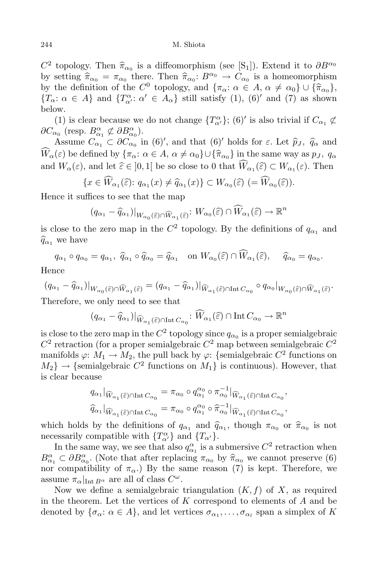$C^2$  topology. Then  $\hat{\pi}_{\alpha_0}$  is a diffeomorphism (see [S<sub>1</sub>]). Extend it to  $\partial B^{\alpha_0}$ by setting  $\hat{\pi}_{\alpha_0} = \pi_{\alpha_0}$  there. Then  $\hat{\pi}_{\alpha_0} : B^{\alpha_0} \to C_{\alpha_0}$  is a homeomorphism by the definition of the *C*<sup>0</sup> topology, and  $\{\pi_{\alpha}: \alpha \in A, \alpha \neq \alpha_0\} \cup \{\hat{\pi}_{\alpha_0}\},$ <br> $\{T_{\alpha}: \alpha \in A\}$ , and  $\{T_{\alpha}^{\alpha}: \alpha \in A, \alpha \neq \alpha_0\}$ ,  $\{T_{\alpha}^{\alpha}: \alpha \in A, \alpha \neq \alpha_0\}$  ${T_\alpha : \alpha \in A}$  and  ${T_\alpha : \alpha' \in A_\alpha}$  still satisfy (1), (6)<sup>*'*</sup> and (7) as shown below.

(1) is clear because we do not change  ${T_{\alpha'}^{\alpha}}$ ; (6)<sup>*'*</sup> is also trivial if  $C_{\alpha_1} \not\subset$  $\partial C_{\alpha_0}$  (resp.  $B^{\alpha}_{\alpha_1} \not\subset \partial B^{\alpha}_{\alpha_0}$ ).

Assume  $C_{\alpha_1} \subset \partial C_{\alpha_0}$  in (6)', and that (6)' holds for  $\varepsilon$ . Let  $\widehat{p}_J$ ,  $\widehat{q}_\alpha$  and  $\widehat{W}_{\alpha}(\varepsilon)$  be defined by  $\{\pi_{\alpha}: \alpha \in A, \alpha \neq \alpha_0\} \cup \{\widehat{\pi}_{\alpha_0}\}\$ in the same way as  $p_J, q_\alpha$ and  $W_{\alpha}(\varepsilon)$ , and let  $\widehat{\varepsilon} \in ]0,1[$  be so close to 0 that  $W_{\alpha_1}(\widehat{\varepsilon}) \subset W_{\alpha_1}(\varepsilon)$ . Then

$$
\{x\in \widehat{W}_{\alpha_1}(\widehat{\varepsilon})\colon q_{\alpha_1}(x)\neq \widehat{q}_{\alpha_1}(x)\}\subset W_{\alpha_0}(\widehat{\varepsilon})\; (=\widehat{W}_{\alpha_0}(\widehat{\varepsilon})).
$$

Hence it suffices to see that the map

$$
(q_{\alpha_1} - \widehat{q}_{\alpha_1})|_{W_{\alpha_0}(\widehat{\varepsilon}) \cap \widehat{W}_{\alpha_1}(\widehat{\varepsilon})} \colon W_{\alpha_0}(\widehat{\varepsilon}) \cap \widehat{W}_{\alpha_1}(\widehat{\varepsilon}) \to \mathbb{R}^n
$$

is close to the zero map in the  $C^2$  topology. By the definitions of  $q_{\alpha_1}$  and  $\widehat{q}_{\alpha_1}$  we have

$$
q_{\alpha_1} \circ q_{\alpha_0} = q_{\alpha_1}, \ \widehat{q}_{\alpha_1} \circ \widehat{q}_{\alpha_0} = \widehat{q}_{\alpha_1} \quad \text{on } W_{\alpha_0}(\widehat{\varepsilon}) \cap \widehat{W}_{\alpha_1}(\widehat{\varepsilon}), \quad \widehat{q}_{\alpha_0} = q_{\alpha_0}.
$$

Hence

$$
(q_{\alpha_1}-\widehat{q}_{\alpha_1})|_{W_{\alpha_0}(\widehat{\varepsilon})\cap \widehat{W}_{\alpha_1}(\widehat{\varepsilon})}=(q_{\alpha_1}-\widehat{q}_{\alpha_1})|_{\widehat{W}_{\alpha_1}(\widehat{\varepsilon})\cap \text{Int} \, C_{\alpha_0}}\circ q_{\alpha_0}|_{W_{\alpha_0}(\widehat{\varepsilon})\cap \widehat{W}_{\alpha_1}(\widehat{\varepsilon})}.
$$

Therefore, we only need to see that

$$
(q_{\alpha_1} - \widehat{q}_{\alpha_1})|_{\widehat{W}_{\alpha_1}(\widehat{\varepsilon}) \cap \text{Int }C_{\alpha_0}} \colon \widehat{W}_{\alpha_1}(\widehat{\varepsilon}) \cap \text{Int }C_{\alpha_0} \to \mathbb{R}^n
$$

is close to the zero map in the  $C^2$  topology since  $q_{\alpha_0}$  is a proper semialgebraic  $C^2$  retraction (for a proper semialgebraic  $C^2$  map between semialgebraic  $C^2$ manifolds  $\varphi: M_1 \to M_2$ , the pull back by  $\varphi$ : {semialgebraic  $C^2$  functions on  $M_2$   $\rightarrow$  {semialgebraic  $C^2$  functions on  $M_1$ } is continuous). However, that is clear because

$$
q_{\alpha_1}|_{\widehat{W}_{\alpha_1}(\widehat{\varepsilon})\cap \text{Int }C_{\alpha_0}} = \pi_{\alpha_0} \circ q_{\alpha_1}^{\alpha_0} \circ \pi_{\alpha_0}^{-1}|_{\widehat{W}_{\alpha_1}(\widehat{\varepsilon})\cap \text{Int }C_{\alpha_0}},
$$
  

$$
\widehat{q}_{\alpha_1}|_{\widehat{W}_{\alpha_1}(\widehat{\varepsilon})\cap \text{Int }C_{\alpha_0}} = \pi_{\alpha_0} \circ q_{\alpha_1}^{\alpha_0} \circ \widehat{\pi}_{\alpha_0}^{-1}|_{\widehat{W}_{\alpha_1}(\widehat{\varepsilon})\cap \text{Int }C_{\alpha_0}},
$$

which holds by the definitions of  $q_{\alpha_1}$  and  $\hat{q}_{\alpha_1}$ , though  $\pi_{\alpha_0}$  or  $\hat{\pi}_{\alpha_0}$  is not necessarily compatible with  ${T^{\alpha}_{\alpha'}}$  and  ${T_{\alpha'}}$ .

In the same way, we see that also  $q_{\alpha_1}^{\alpha}$  is a submersive  $C^2$  retraction when  $B^{\alpha}_{\alpha_1} \subset \partial B^{\alpha}_{\alpha_0}$ . (Note that after replacing  $\pi_{\alpha_0}$  by  $\hat{\pi}_{\alpha_0}$  we cannot preserve (6) nor compatibility of  $\pi_{\alpha}$ .) By the same reason (7) is kept. Therefore, we assume  $\pi_{\alpha}|_{\text{Int }B^{\alpha}}$  are all of class  $C^{\omega}$ .

Now we define a semialgebraic triangulation  $(K, f)$  of X, as required in the theorem. Let the vertices of *K* correspond to elements of *A* and be denoted by  ${\sigma_{\alpha}: \alpha \in A}$ , and let vertices  $\sigma_{\alpha_1}, \ldots, \sigma_{\alpha_l}$  span a simplex of *K*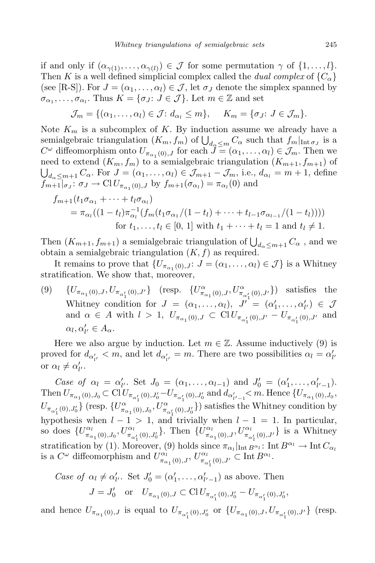if and only if  $(\alpha_{\gamma(1)}, \ldots, \alpha_{\gamma(l)}) \in \mathcal{J}$  for some permutation  $\gamma$  of  $\{1, \ldots, l\}$ . Then *K* is a well defined simplicial complex called the *dual complex* of  ${C_{\alpha}}$ (see [R-S]). For  $J = (\alpha_1, \ldots, \alpha_l) \in \mathcal{J}$ , let  $\sigma_J$  denote the simplex spanned by  $\sigma_{\alpha_1}, \ldots, \sigma_{\alpha_l}$ . Thus  $K = \{\sigma_J : J \in \mathcal{J}\}$ . Let  $m \in \mathbb{Z}$  and set

$$
\mathcal{J}_m = \{(\alpha_1, \ldots, \alpha_l) \in \mathcal{J} : d_{\alpha_l} \leq m\}, \quad K_m = \{\sigma_J : J \in \mathcal{J}_m\}.
$$

Note  $K_m$  is a subcomplex of K. By induction assume we already have a semialgebraic triangulation  $(K_m, f_m)$  of  $\bigcup_{d_\alpha \leq m} C_\alpha$  such that  $f_m|_{\text{Int }\sigma_J}$  is a  $C^{\omega}$  diffeomorphism onto  $U_{\pi_{\alpha_1}(0),J}$  for each  $\tilde{J} = (\alpha_1, \ldots, \alpha_l) \in \mathcal{J}_m$ . Then we need to extend  $(K_m, f_m)$  to a semialgebraic triangulation  $(K_{m+1}, f_{m+1})$  of  $\bigcup_{d_{\alpha} \leq m+1} C_{\alpha}$ . For  $J = (\alpha_1, \ldots, \alpha_l) \in \mathcal{J}_{m+1} - \mathcal{J}_m$ , i.e.,  $d_{\alpha_l} = m+1$ , define  $f_{m+1}|_{\sigma}$ ;  $\sigma_J \to \mathrm{Cl} U_{\pi_{\alpha_1}(0),J}$  by  $f_{m+1}(\sigma_{\alpha_l}) = \pi_{\alpha_l}(0)$  and

$$
f_{m+1}(t_1 \sigma_{\alpha_1} + \dots + t_l \sigma_{\alpha_l})
$$
  
=  $\pi_{\alpha_l}((1 - t_l)\pi_{\alpha_l}^{-1}(f_m(t_1 \sigma_{\alpha_1}/(1 - t_l) + \dots + t_{l-1} \sigma_{\alpha_{l-1}}/(1 - t_l))))$   
for  $t_1, \dots, t_l \in [0, 1]$  with  $t_1 + \dots + t_l = 1$  and  $t_l \neq 1$ .

Then  $(K_{m+1}, f_{m+1})$  a semialgebraic triangulation of  $\bigcup_{d_{\alpha} \leq m+1} C_{\alpha}$ , and we obtain a semialgebraic triangulation (*K, f*) as required.

It remains to prove that  $\{U_{\pi_{\alpha_1}(0),J}: J = (\alpha_1, \ldots, \alpha_l) \in J\}$  is a Whitney stratification. We show that, moreover,

(9)  $\{U_{\pi_{\alpha_1}(0),J}, U_{\pi_{\alpha'_1}(0),J'}\}$  (resp.  $\{U^{\alpha}_{\pi_{\alpha_1}(0),J}, U^{\alpha}_{\pi_{\alpha'_1}(0),J'}\}$ ) satisfies the Whitney condition for  $J = (\alpha_1, \ldots, \alpha_l)$ ,  $J' = (\alpha'_1, \ldots, \alpha'_{l'}) \in \mathcal{J}$ and  $\alpha \in A$  with  $l > 1$ ,  $U_{\pi_{\alpha_1}(0), J} \subset \text{Cl } U_{\pi_{\alpha'_1}(0), J'} - U_{\pi_{\alpha'_1}(0), J'}$  and  $\alpha_l, \alpha'_{l'} \in A_\alpha.$ 

Here we also argue by induction. Let  $m \in \mathbb{Z}$ . Assume inductively (9) is proved for  $d_{\alpha'_{l'}} < m$ , and let  $d_{\alpha'_{l'}} = m$ . There are two possibilities  $\alpha_l = \alpha'_{l'}$ or  $\alpha_l \neq \alpha'_{l'}$ .

Case of  $\alpha_l = \alpha'_{l'}$ . Set  $J_0 = (\alpha_1, \ldots, \alpha_{l-1})$  and  $J'_0 = (\alpha'_1, \ldots, \alpha'_{l'-1})$ . Then  $U_{\pi_{\alpha_1}(0), J_0} \subset \text{Cl } U_{\pi_{\alpha'_1}(0), J'_0} - U_{\pi_{\alpha'_1}(0), J'_0}$  and  $d_{\alpha'_{l'-1}} < m$ . Hence  $\{U_{\pi_{\alpha_1}(0), J_0},$  $U_{\pi_{\alpha'_1}(0), J'_0}\}$  (resp.  $\{U^{\alpha}_{\pi_{\alpha_1}(0), J_0}, U^{\alpha}_{\pi_{\alpha'_1}(0), J'_0}\})$  satisfies the Whitney condition by hypothesis when  $l - 1 > 1$ , and trivially when  $l - 1 = 1$ . In particular, so does  $\{U^{\alpha_l}_\pi\}$  $\{\frac{a_1}{\pi a_1}(0), \frac{a_2}{\pi a'_1}(0), \frac{a_3}{\pi a'_1}(0), \frac{a_4}{\pi a'_1}(0)\}$ . Then  $\{U_{\pi a_1}^{a_1}(0), \pi a_2^{a_2}(0), \pi a_3^{a_3}(0)\}$ .  $\{ \sigma_{\pi_{\alpha_1}(0),J}^{\alpha_l}, U_{\pi_{\alpha'_1}(0),J'}^{\alpha_l} \}$  is a Whitney stratification by (1). Moreover, (9) holds since  $\pi_{\alpha_l}|_{\text{Int }B^{\alpha_l}}$ : Int  $B^{\alpha_l} \to \text{Int } C_{\alpha_l}$ is a  $C^{\omega}$  diffeomorphism and  $U_{\pi}^{\alpha}$  $\frac{\alpha_l}{\pi_{\alpha_1}(0), J}, U^{\alpha_l}_{\pi_{\alpha_1}}$  $\int_{\pi_{\alpha'_1}(0),J'}^{\alpha_l} C \ln t B^{\alpha_l}$ .

Case of 
$$
\alpha_l \neq \alpha'_{l'}
$$
. Set  $J'_0 = (\alpha'_1, \ldots, \alpha'_{l'-1})$  as above. Then  
\n
$$
J = J'_0 \text{ or } U_{\pi_{\alpha_1}(0), J} \subset \text{Cl } U_{\pi_{\alpha'_1}(0), J'_0} - U_{\pi_{\alpha'_1}(0), J'_0},
$$

and hence  $U_{\pi_{\alpha_1}(0), J}$  is equal to  $U_{\pi_{\alpha'_1}(0), J'_0}$  or  $\{U_{\pi_{\alpha_1}(0), J}, U_{\pi_{\alpha'_1}(0), J'}\}$  (resp.